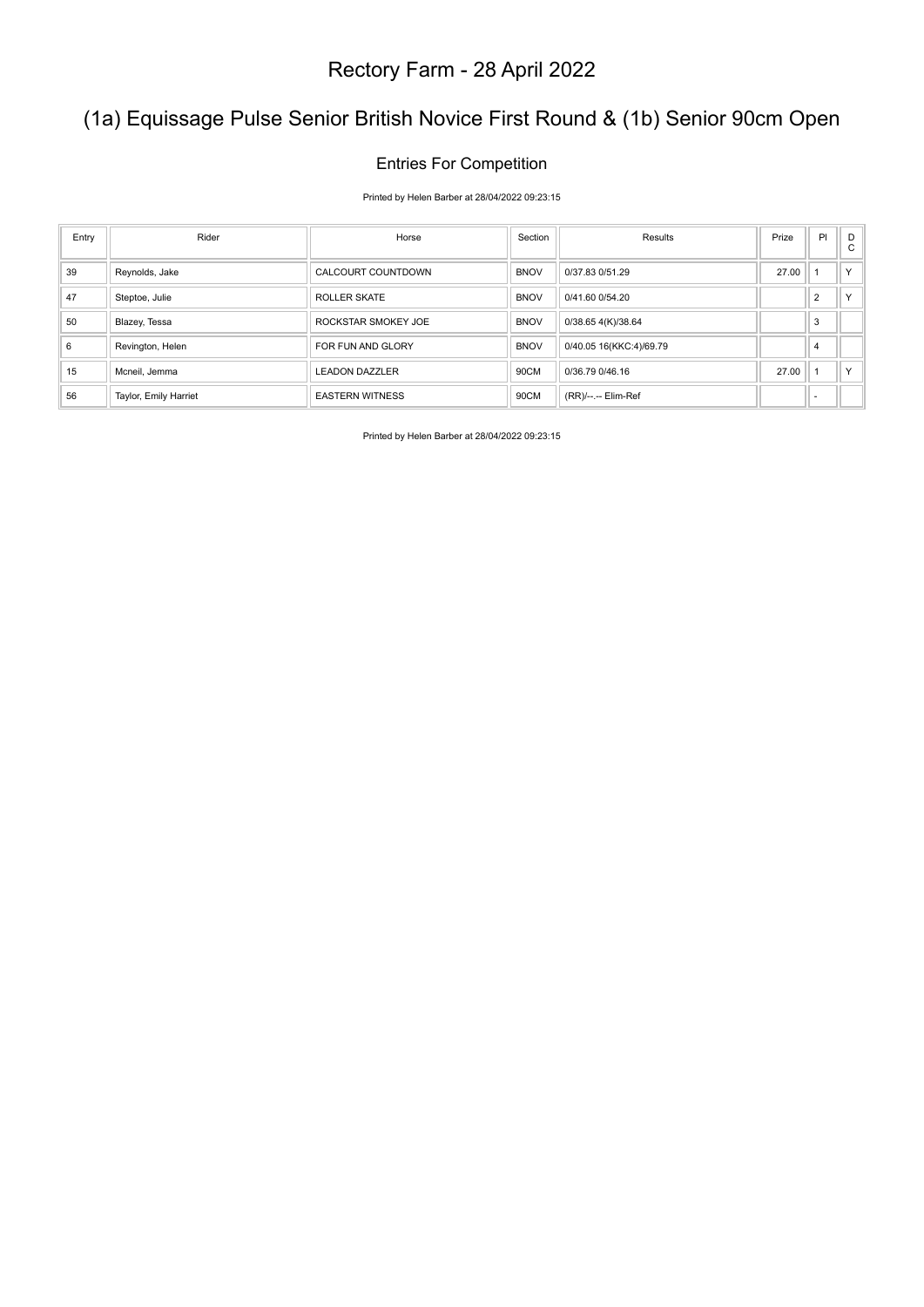### (1a) Equissage Pulse Senior British Novice First Round & (1b) Senior 90cm Open

#### Entries For Competition

Printed by Helen Barber at 28/04/2022 09:23:15

| Entry | Rider                 | Horse                  | Section     | Results                 | Prize | PI             | D<br>C |
|-------|-----------------------|------------------------|-------------|-------------------------|-------|----------------|--------|
| 39    | Reynolds, Jake        | CALCOURT COUNTDOWN     | <b>BNOV</b> | 0/37.83 0/51.29         | 27.00 |                | $\vee$ |
| 47    | Steptoe, Julie        | <b>ROLLER SKATE</b>    | <b>BNOV</b> | 0/41.60 0/54.20         |       | $\overline{2}$ |        |
| 50    | Blazey, Tessa         | ROCKSTAR SMOKEY JOE    | <b>BNOV</b> | 0/38.65 4(K)/38.64      |       | 3              |        |
| 6     | Revington, Helen      | FOR FUN AND GLORY      | <b>BNOV</b> | 0/40.05 16(KKC:4)/69.79 |       | 4              |        |
| 15    | Mcneil, Jemma         | <b>LEADON DAZZLER</b>  | 90CM        | 0/36.79 0/46.16         | 27.00 |                |        |
| 56    | Taylor, Emily Harriet | <b>EASTERN WITNESS</b> | 90CM        | (RR)/--.-- Elim-Ref     |       |                |        |

Printed by Helen Barber at 28/04/2022 09:23:15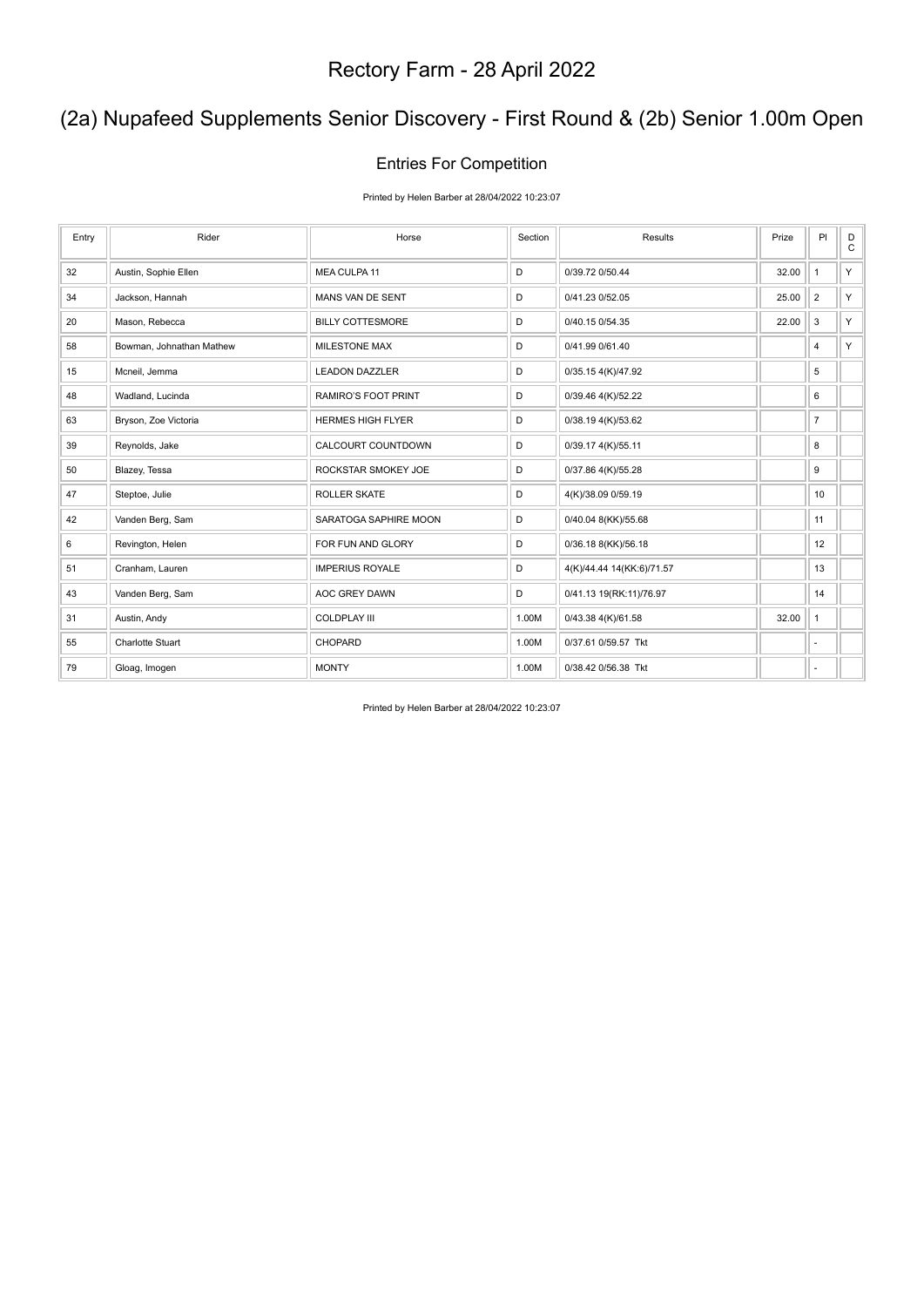### (2a) Nupafeed Supplements Senior Discovery - First Round & (2b) Senior 1.00m Open

#### Entries For Competition

Printed by Helen Barber at 28/04/2022 10:23:07

| Entry | Rider                    | Horse                    | Section | Results                   | Prize | PI             | D<br>$\mathsf{C}$ |
|-------|--------------------------|--------------------------|---------|---------------------------|-------|----------------|-------------------|
| 32    | Austin, Sophie Ellen     | MEA CULPA 11             | D       | 0/39.72 0/50.44           | 32.00 | $\mathbf{1}$   | Y                 |
| 34    | Jackson, Hannah          | MANS VAN DE SENT         | D       | 0/41.23 0/52.05           | 25.00 | $\overline{2}$ | Y                 |
| 20    | Mason, Rebecca           | <b>BILLY COTTESMORE</b>  | D       | 0/40.15 0/54.35           | 22.00 | 3              | Y                 |
| 58    | Bowman, Johnathan Mathew | <b>MILESTONE MAX</b>     | D       | 0/41.99 0/61.40           |       | 4              | Y                 |
| 15    | Mcneil, Jemma            | <b>LEADON DAZZLER</b>    | D       | 0/35.15 4(K)/47.92        |       | 5              |                   |
| 48    | Wadland, Lucinda         | RAMIRO'S FOOT PRINT      | D       | 0/39.46 4(K)/52.22        |       | 6              |                   |
| 63    | Bryson, Zoe Victoria     | <b>HERMES HIGH FLYER</b> | D       | 0/38.19 4(K)/53.62        |       | $\overline{7}$ |                   |
| 39    | Reynolds, Jake           | CALCOURT COUNTDOWN       | D       | 0/39.17 4(K)/55.11        |       | 8              |                   |
| 50    | Blazey, Tessa            | ROCKSTAR SMOKEY JOE      | D       | 0/37.86 4(K)/55.28        |       | 9              |                   |
| 47    | Steptoe, Julie           | <b>ROLLER SKATE</b>      | D       | 4(K)/38.09 0/59.19        |       | 10             |                   |
| 42    | Vanden Berg, Sam         | SARATOGA SAPHIRE MOON    | D       | 0/40.04 8(KK)/55.68       |       | 11             |                   |
| 6     | Revington, Helen         | FOR FUN AND GLORY        | D       | 0/36.18 8(KK)/56.18       |       | 12             |                   |
| 51    | Cranham, Lauren          | <b>IMPERIUS ROYALE</b>   | D       | 4(K)/44.44 14(KK:6)/71.57 |       | 13             |                   |
| 43    | Vanden Berg, Sam         | AOC GREY DAWN            | D       | 0/41.13 19(RK:11)/76.97   |       | 14             |                   |
| 31    | Austin, Andy             | <b>COLDPLAY III</b>      | 1.00M   | 0/43.38 4(K)/61.58        | 32.00 | $\mathbf{1}$   |                   |
| 55    | <b>Charlotte Stuart</b>  | <b>CHOPARD</b>           | 1.00M   | 0/37.61 0/59.57 Tkt       |       | ä,             |                   |
| 79    | Gloag, Imogen            | <b>MONTY</b>             | 1.00M   | 0/38.42 0/56.38 Tkt       |       | ٠              |                   |

Printed by Helen Barber at 28/04/2022 10:23:07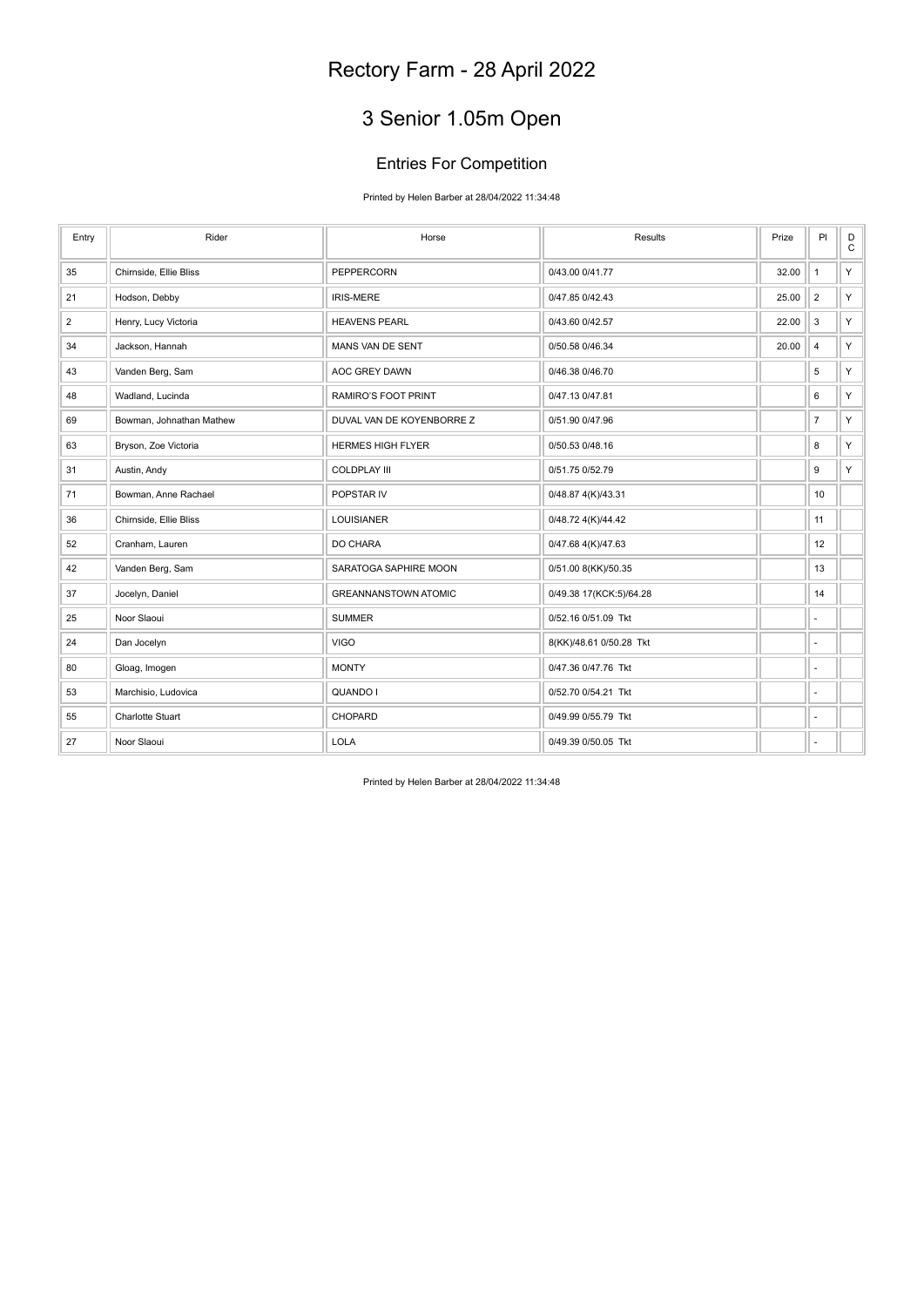# 3 Senior 1.05m Open

### Entries For Competition

Printed by Helen Barber at 28/04/2022 11:34:48

| Entry          | Rider                    | Horse                       | Results                 | Prize | PI                       | $_{\rm C}^{\rm D}$ |
|----------------|--------------------------|-----------------------------|-------------------------|-------|--------------------------|--------------------|
| 35             | Chirnside, Ellie Bliss   | PEPPERCORN                  | 0/43.00 0/41.77         | 32.00 | $\mathbf{1}$             | Y.                 |
| 21             | Hodson, Debby            | <b>IRIS-MERE</b>            | 0/47.85 0/42.43         | 25.00 | $\overline{2}$           | Y.                 |
| $\overline{2}$ | Henry, Lucy Victoria     | <b>HEAVENS PEARL</b>        | 0/43.60 0/42.57         | 22.00 | 3                        | Y.                 |
| 34             | Jackson, Hannah          | MANS VAN DE SENT            | 0/50.58 0/46.34         | 20.00 | $\overline{\mathbf{4}}$  | Y.                 |
| 43             | Vanden Berg, Sam         | AOC GREY DAWN               | 0/46.38 0/46.70         |       | 5                        | Y.                 |
| 48             | Wadland, Lucinda         | RAMIRO'S FOOT PRINT         | 0/47.13 0/47.81         |       | 6                        | Y.                 |
| 69             | Bowman, Johnathan Mathew | DUVAL VAN DE KOYENBORRE Z   | 0/51.90 0/47.96         |       | $\overline{\mathcal{I}}$ | Y.                 |
| 63             | Bryson, Zoe Victoria     | <b>HERMES HIGH FLYER</b>    | 0/50.53 0/48.16         |       | 8                        | Y.                 |
| 31             | Austin, Andy             | <b>COLDPLAY III</b>         | 0/51.75 0/52.79         |       | 9                        | Y.                 |
| 71             | Bowman, Anne Rachael     | POPSTAR IV                  | 0/48.87 4(K)/43.31      |       | 10                       |                    |
| 36             | Chirnside, Ellie Bliss   | <b>LOUISIANER</b>           | 0/48.72 4(K)/44.42      |       | 11                       |                    |
| 52             | Cranham, Lauren          | DO CHARA                    | 0/47.68 4(K)/47.63      |       | 12                       |                    |
| 42             | Vanden Berg, Sam         | SARATOGA SAPHIRE MOON       | 0/51.00 8(KK)/50.35     |       | 13                       |                    |
| 37             | Jocelyn, Daniel          | <b>GREANNANSTOWN ATOMIC</b> | 0/49.38 17(KCK:5)/64.28 |       | 14                       |                    |
| 25             | Noor Slaoui              | <b>SUMMER</b>               | 0/52.16 0/51.09 Tkt     |       | $\overline{\phantom{a}}$ |                    |
| 24             | Dan Jocelyn              | <b>VIGO</b>                 | 8(KK)/48.61 0/50.28 Tkt |       | ä,                       |                    |
| 80             | Gloag, Imogen            | <b>MONTY</b>                | 0/47.36 0/47.76 Tkt     |       | $\overline{a}$           |                    |
| 53             | Marchisio, Ludovica      | QUANDO I                    | 0/52.70 0/54.21 Tkt     |       | ä,                       |                    |
| 55             | <b>Charlotte Stuart</b>  | CHOPARD                     | 0/49.99 0/55.79 Tkt     |       | $\overline{\phantom{a}}$ |                    |
| 27             | Noor Slaoui              | <b>LOLA</b>                 | 0/49.39 0/50.05 Tkt     |       | ٠                        |                    |

Printed by Helen Barber at 28/04/2022 11:34:48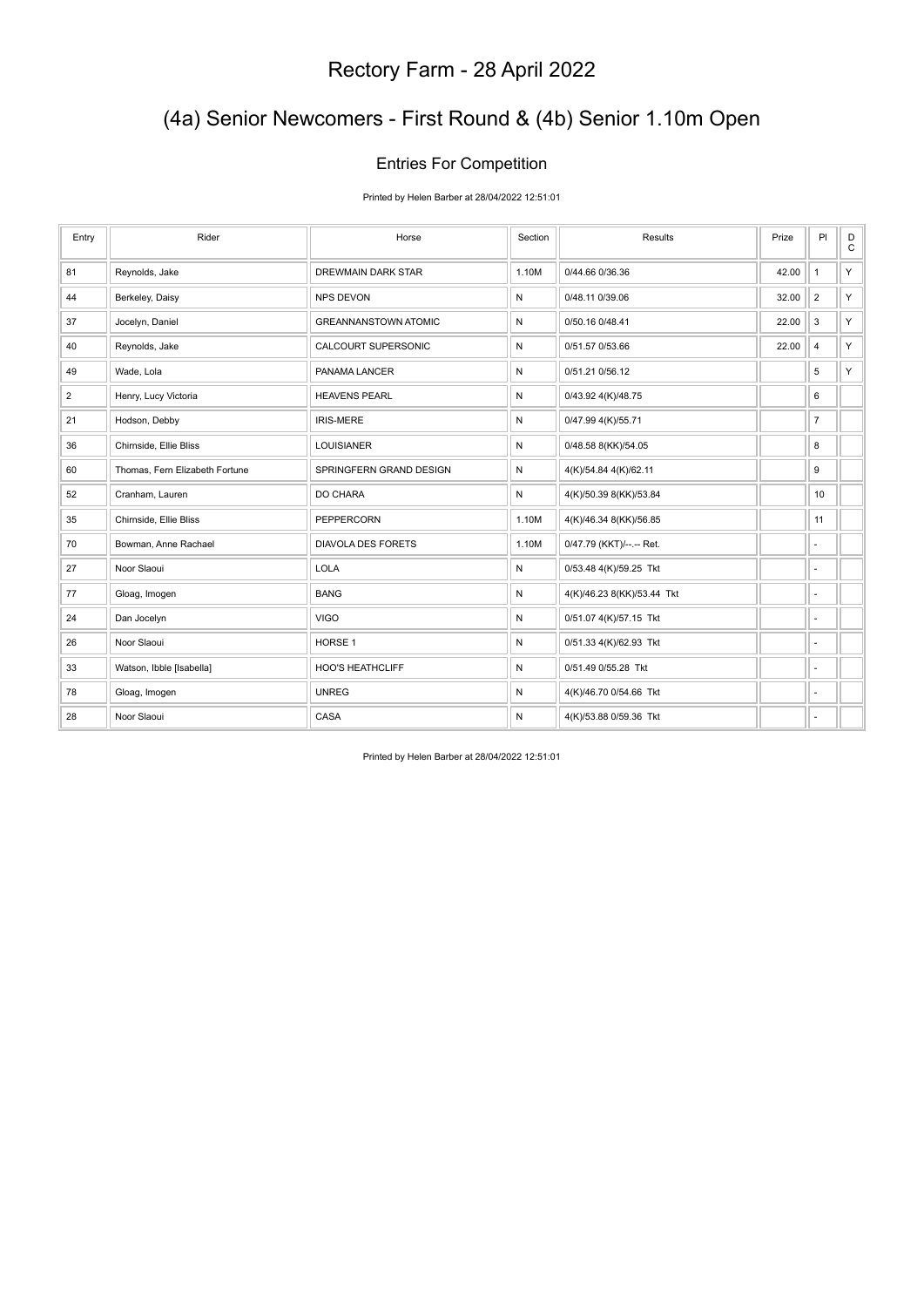### (4a) Senior Newcomers - First Round & (4b) Senior 1.10m Open

#### Entries For Competition

Printed by Helen Barber at 28/04/2022 12:51:01

| Entry          | Rider                          | Horse                       | Section | Results                    | Prize | PI                       | D<br>$\mathtt{C}$ |
|----------------|--------------------------------|-----------------------------|---------|----------------------------|-------|--------------------------|-------------------|
| 81             | Reynolds, Jake                 | DREWMAIN DARK STAR          | 1.10M   | 0/44.66 0/36.36            | 42.00 | $\mathbf{1}$             | Y.                |
| 44             | Berkeley, Daisy                | <b>NPS DEVON</b>            | N       | 0/48.11 0/39.06            | 32.00 | $\overline{2}$           | Y.                |
| 37             | Jocelyn, Daniel                | <b>GREANNANSTOWN ATOMIC</b> | Ν       | 0/50.16 0/48.41            | 22.00 | 3                        | Y.                |
| 40             | Reynolds, Jake                 | <b>CALCOURT SUPERSONIC</b>  | N       | 0/51.57 0/53.66            | 22.00 | 4                        | Y.                |
| 49             | Wade, Lola                     | PANAMA LANCER               | N       | 0/51.21 0/56.12            |       | 5                        | Y.                |
| $\overline{2}$ | Henry, Lucy Victoria           | <b>HEAVENS PEARL</b>        | N       | 0/43.92 4(K)/48.75         |       | 6                        |                   |
| 21             | Hodson, Debby                  | <b>IRIS-MERE</b>            | N       | 0/47.99 4(K)/55.71         |       | $\overline{7}$           |                   |
| 36             | Chirnside, Ellie Bliss         | <b>LOUISIANER</b>           | Ν       | 0/48.58 8(KK)/54.05        |       | 8                        |                   |
| 60             | Thomas, Fern Elizabeth Fortune | SPRINGFERN GRAND DESIGN     | N       | 4(K)/54.84 4(K)/62.11      |       | 9                        |                   |
| 52             | Cranham, Lauren                | DO CHARA                    | Ν       | 4(K)/50.39 8(KK)/53.84     |       | 10                       |                   |
| 35             | Chirnside, Ellie Bliss         | PEPPERCORN                  | 1.10M   | 4(K)/46.34 8(KK)/56.85     |       | 11                       |                   |
| 70             | Bowman, Anne Rachael           | <b>DIAVOLA DES FORETS</b>   | 1.10M   | 0/47.79 (KKT)/--.-- Ret.   |       | ٠                        |                   |
| 27             | Noor Slaoui                    | <b>LOLA</b>                 | Ν       | 0/53.48 4(K)/59.25 Tkt     |       | ٠                        |                   |
| 77             | Gloag, Imogen                  | <b>BANG</b>                 | N       | 4(K)/46.23 8(KK)/53.44 Tkt |       | $\sim$                   |                   |
| 24             | Dan Jocelyn                    | <b>VIGO</b>                 | Ν       | 0/51.07 4(K)/57.15 Tkt     |       | ٠                        |                   |
| 26             | Noor Slaoui                    | HORSE <sub>1</sub>          | N       | 0/51.33 4(K)/62.93 Tkt     |       | $\sim$                   |                   |
| 33             | Watson, Ibble [Isabella]       | <b>HOO'S HEATHCLIFF</b>     | Ν       | 0/51.49 0/55.28 Tkt        |       | ÷,                       |                   |
| 78             | Gloag, Imogen                  | <b>UNREG</b>                | Ν       | 4(K)/46.70 0/54.66 Tkt     |       | $\overline{\phantom{a}}$ |                   |
| 28             | Noor Slaoui                    | CASA                        | Ν       | 4(K)/53.88 0/59.36 Tkt     |       | ٠                        |                   |

Printed by Helen Barber at 28/04/2022 12:51:01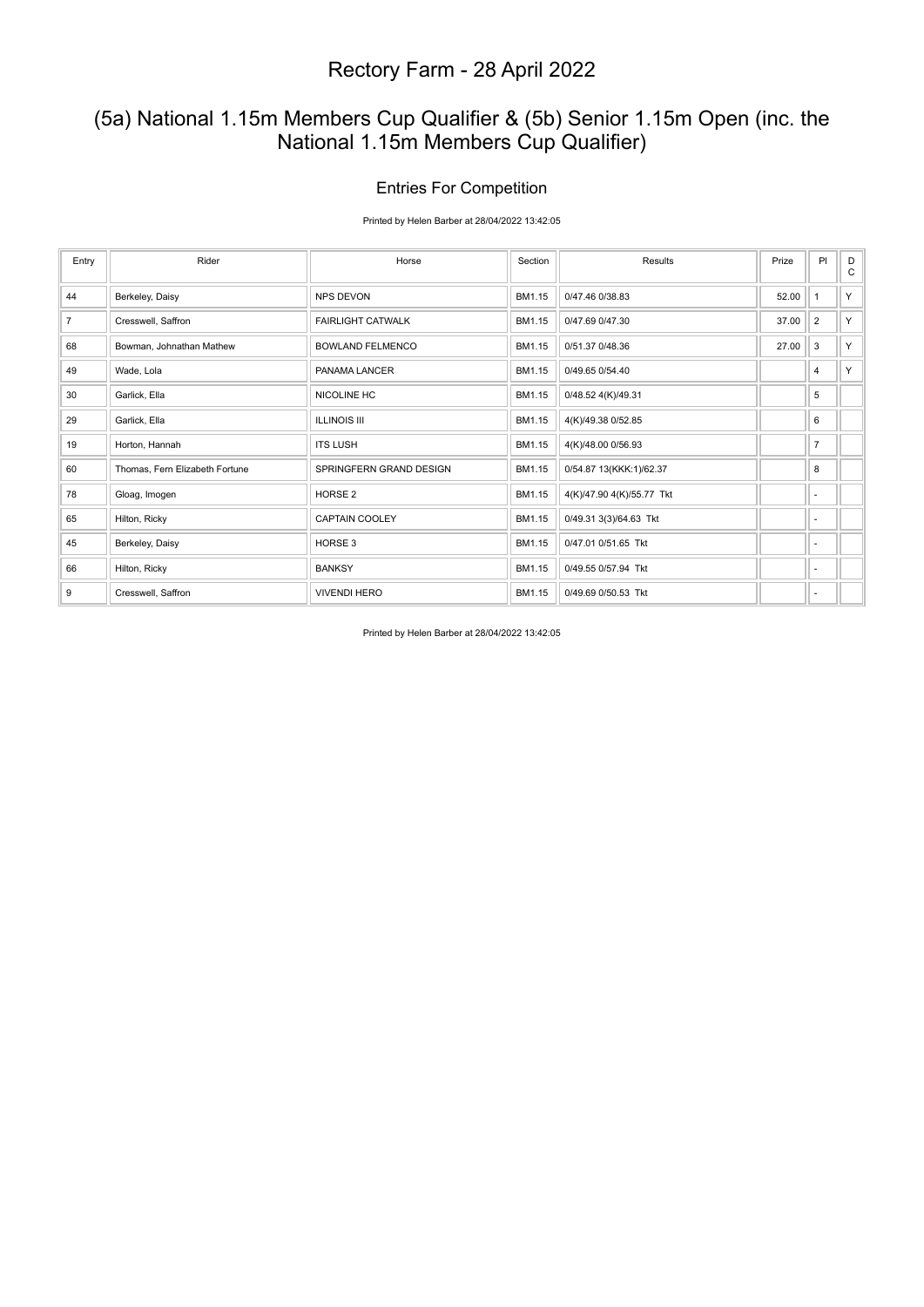### (5a) National 1.15m Members Cup Qualifier & (5b) Senior 1.15m Open (inc. the National 1.15m Members Cup Qualifier)

#### Entries For Competition

Printed by Helen Barber at 28/04/2022 13:42:05

| Entry          | Rider                          | Horse                    | Section | Results                   | Prize | PI                       | D<br>C |
|----------------|--------------------------------|--------------------------|---------|---------------------------|-------|--------------------------|--------|
| 44             | Berkeley, Daisy                | <b>NPS DEVON</b>         | BM1.15  | 0/47.46 0/38.83           | 52.00 | $\mathbf{1}$             | Y      |
| $\overline{7}$ | Cresswell, Saffron             | <b>FAIRLIGHT CATWALK</b> | BM1.15  | 0/47.69 0/47.30           | 37.00 | $\overline{2}$           | Y      |
| 68             | Bowman, Johnathan Mathew       | <b>BOWLAND FELMENCO</b>  | BM1.15  | 0/51.37 0/48.36           | 27.00 | 3                        | Y      |
| 49             | Wade, Lola                     | PANAMA LANCER            | BM1.15  | 0/49.65 0/54.40           |       | 4                        | Y      |
| 30             | Garlick, Ella                  | NICOLINE HC              | BM1.15  | 0/48.52 4(K)/49.31        |       | 5                        |        |
| 29             | Garlick, Ella                  | <b>ILLINOIS III</b>      | BM1.15  | 4(K)/49.38 0/52.85        |       | 6                        |        |
| 19             | Horton, Hannah                 | <b>ITS LUSH</b>          | BM1.15  | 4(K)/48.00 0/56.93        |       | $\overline{7}$           |        |
| 60             | Thomas, Fern Elizabeth Fortune | SPRINGFERN GRAND DESIGN  | BM1.15  | 0/54.87 13(KKK:1)/62.37   |       | 8                        |        |
| 78             | Gloag, Imogen                  | HORSE <sub>2</sub>       | BM1.15  | 4(K)/47.90 4(K)/55.77 Tkt |       | ٠                        |        |
| 65             | Hilton, Ricky                  | CAPTAIN COOLEY           | BM1.15  | 0/49.31 3(3)/64.63 Tkt    |       | ٠                        |        |
| 45             | Berkeley, Daisy                | HORSE 3                  | BM1.15  | 0/47.01 0/51.65 Tkt       |       | ٠                        |        |
| 66             | Hilton, Ricky                  | <b>BANKSY</b>            | BM1.15  | 0/49.55 0/57.94 Tkt       |       | $\overline{\phantom{a}}$ |        |
| 9              | Cresswell, Saffron             | <b>VIVENDI HERO</b>      | BM1.15  | 0/49.69 0/50.53 Tkt       |       | $\overline{\phantom{a}}$ |        |

Printed by Helen Barber at 28/04/2022 13:42:05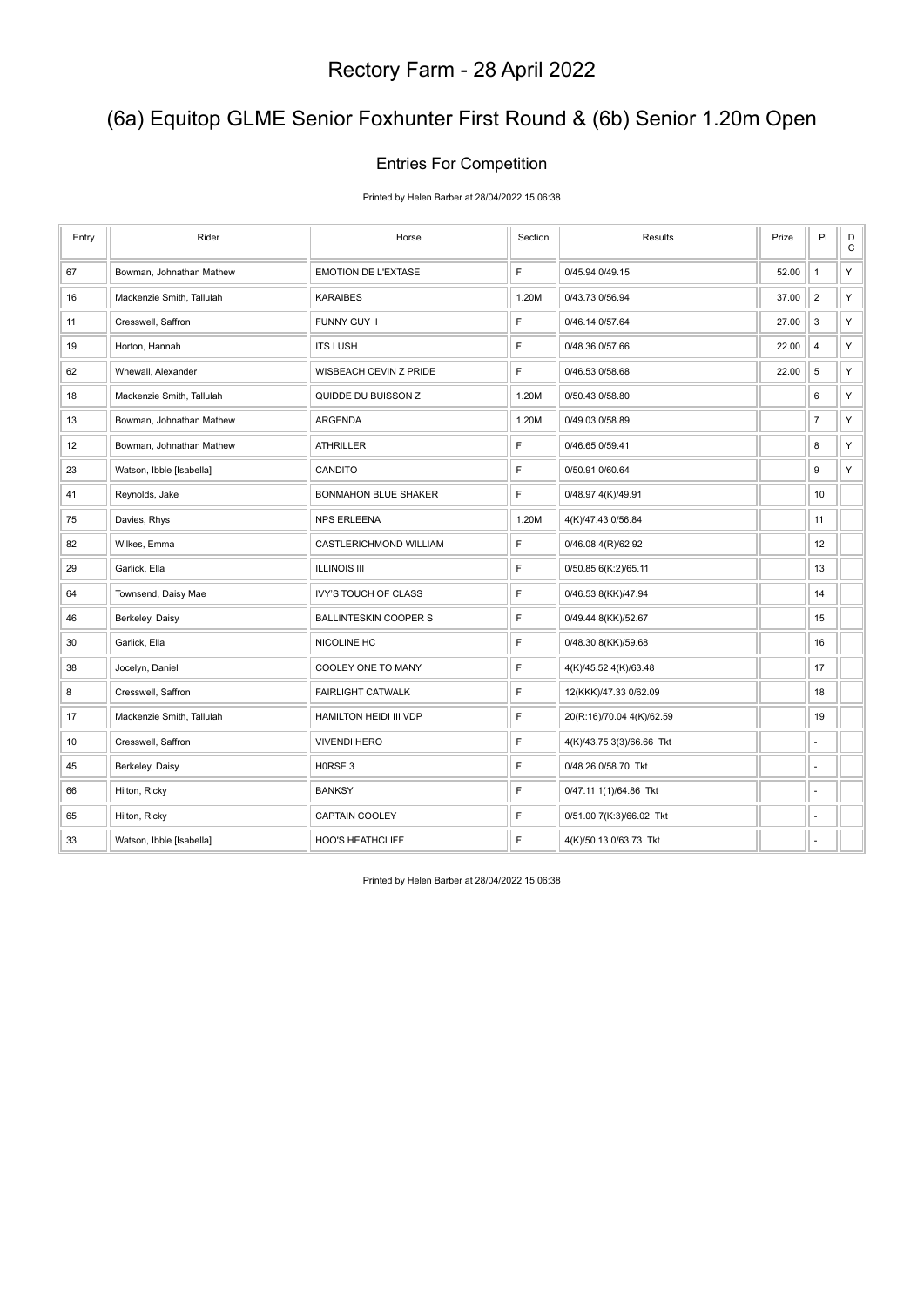### (6a) Equitop GLME Senior Foxhunter First Round & (6b) Senior 1.20m Open

#### Entries For Competition

Printed by Helen Barber at 28/04/2022 15:06:38

| Entry | Rider                     | Horse                        | Section     | Results                   | Prize | PI                      | $\mathsf D$<br>$\mathbf C$ |
|-------|---------------------------|------------------------------|-------------|---------------------------|-------|-------------------------|----------------------------|
| 67    | Bowman, Johnathan Mathew  | <b>EMOTION DE L'EXTASE</b>   | F           | 0/45.94 0/49.15           | 52.00 | $\mathbf{1}$            | Υ                          |
| 16    | Mackenzie Smith, Tallulah | <b>KARAIBES</b>              | 1.20M       | 0/43.73 0/56.94           | 37.00 | $\overline{2}$          | Υ                          |
| 11    | Cresswell, Saffron        | FUNNY GUY II                 | F           | 0/46.14 0/57.64           | 27.00 | $\mathsf 3$             | Υ                          |
| 19    | Horton, Hannah            | <b>ITS LUSH</b>              | F           | 0/48.36 0/57.66           | 22.00 | $\overline{\mathbf{4}}$ | Υ                          |
| 62    | Whewall, Alexander        | WISBEACH CEVIN Z PRIDE       | F           | 0/46.53 0/58.68           | 22.00 | $\,$ 5 $\,$             | Y                          |
| 18    | Mackenzie Smith, Tallulah | QUIDDE DU BUISSON Z          | 1.20M       | 0/50.43 0/58.80           |       | 6                       | Υ                          |
| 13    | Bowman, Johnathan Mathew  | ARGENDA                      | 1.20M       | 0/49.03 0/58.89           |       | $\overline{7}$          | Υ                          |
| 12    | Bowman, Johnathan Mathew  | <b>ATHRILLER</b>             | F           | 0/46.65 0/59.41           |       | 8                       | Υ                          |
| 23    | Watson, Ibble [Isabella]  | CANDITO                      | F           | 0/50.91 0/60.64           |       | 9                       | Y                          |
| 41    | Reynolds, Jake            | <b>BONMAHON BLUE SHAKER</b>  | F           | 0/48.97 4(K)/49.91        |       | 10                      |                            |
| 75    | Davies, Rhys              | <b>NPS ERLEENA</b>           | 1.20M       | 4(K)/47.43 0/56.84        |       | 11                      |                            |
| 82    | Wilkes, Emma              | CASTLERICHMOND WILLIAM       | F           | 0/46.08 4(R)/62.92        |       | 12                      |                            |
| 29    | Garlick, Ella             | <b>ILLINOIS III</b>          | F           | 0/50.85 6(K:2)/65.11      |       | 13                      |                            |
| 64    | Townsend, Daisy Mae       | <b>IVY'S TOUCH OF CLASS</b>  | F           | 0/46.53 8(KK)/47.94       |       | 14                      |                            |
| 46    | Berkeley, Daisy           | <b>BALLINTESKIN COOPER S</b> | F           | 0/49.44 8(KK)/52.67       |       | 15                      |                            |
| 30    | Garlick, Ella             | NICOLINE HC                  | F           | 0/48.30 8(KK)/59.68       |       | 16                      |                            |
| 38    | Jocelyn, Daniel           | COOLEY ONE TO MANY           | F           | 4(K)/45.52 4(K)/63.48     |       | 17                      |                            |
| 8     | Cresswell, Saffron        | FAIRLIGHT CATWALK            | F           | 12(KKK)/47.33 0/62.09     |       | 18                      |                            |
| 17    | Mackenzie Smith, Tallulah | HAMILTON HEIDI III VDP       | F           | 20(R:16)/70.04 4(K)/62.59 |       | 19                      |                            |
| 10    | Cresswell, Saffron        | <b>VIVENDI HERO</b>          | $\mathsf F$ | 4(K)/43.75 3(3)/66.66 Tkt |       | ÷,                      |                            |
| 45    | Berkeley, Daisy           | H0RSE 3                      | F           | 0/48.26 0/58.70 Tkt       |       | ÷,                      |                            |
| 66    | Hilton, Ricky             | <b>BANKSY</b>                | F           | 0/47.11 1(1)/64.86 Tkt    |       | ÷,                      |                            |
| 65    | Hilton, Ricky             | CAPTAIN COOLEY               | F           | 0/51.00 7(K:3)/66.02 Tkt  |       | ä,                      |                            |
| 33    | Watson, Ibble [Isabella]  | <b>HOO'S HEATHCLIFF</b>      | F           | 4(K)/50.13 0/63.73 Tkt    |       | ä,                      |                            |

Printed by Helen Barber at 28/04/2022 15:06:38